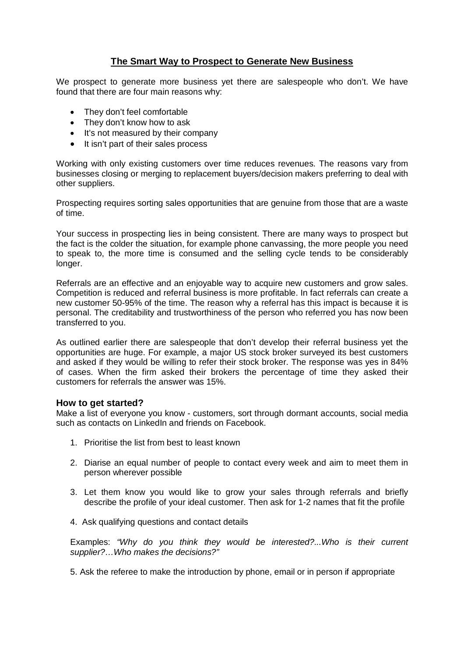## **The Smart Way to Prospect to Generate New Business**

We prospect to generate more business yet there are salespeople who don't. We have found that there are four main reasons why:

- They don't feel comfortable
- They don't know how to ask
- $\bullet$  It's not measured by their company
- It isn't part of their sales process

Working with only existing customers over time reduces revenues. The reasons vary from businesses closing or merging to replacement buyers/decision makers preferring to deal with other suppliers.

Prospecting requires sorting sales opportunities that are genuine from those that are a waste of time.

Your success in prospecting lies in being consistent. There are many ways to prospect but the fact is the colder the situation, for example phone canvassing, the more people you need to speak to, the more time is consumed and the selling cycle tends to be considerably longer.

Referrals are an effective and an enjoyable way to acquire new customers and grow sales. Competition is reduced and referral business is more profitable. In fact referrals can create a new customer 50-95% of the time. The reason why a referral has this impact is because it is personal. The creditability and trustworthiness of the person who referred you has now been transferred to you.

As outlined earlier there are salespeople that don't develop their referral business yet the opportunities are huge. For example, a major US stock broker surveyed its best customers and asked if they would be willing to refer their stock broker. The response was yes in 84% of cases. When the firm asked their brokers the percentage of time they asked their customers for referrals the answer was 15%.

## **How to get started?**

Make a list of everyone you know - customers, sort through dormant accounts, social media such as contacts on LinkedIn and friends on Facebook.

- 1. Prioritise the list from best to least known
- 2. Diarise an equal number of people to contact every week and aim to meet them in person wherever possible
- 3. Let them know you would like to grow your sales through referrals and briefly describe the profile of your ideal customer. Then ask for 1-2 names that fit the profile
- 4. Ask qualifying questions and contact details

Examples: *"Why do you think they would be interested?...Who is their current supplier?…Who makes the decisions?"*

5. Ask the referee to make the introduction by phone, email or in person if appropriate